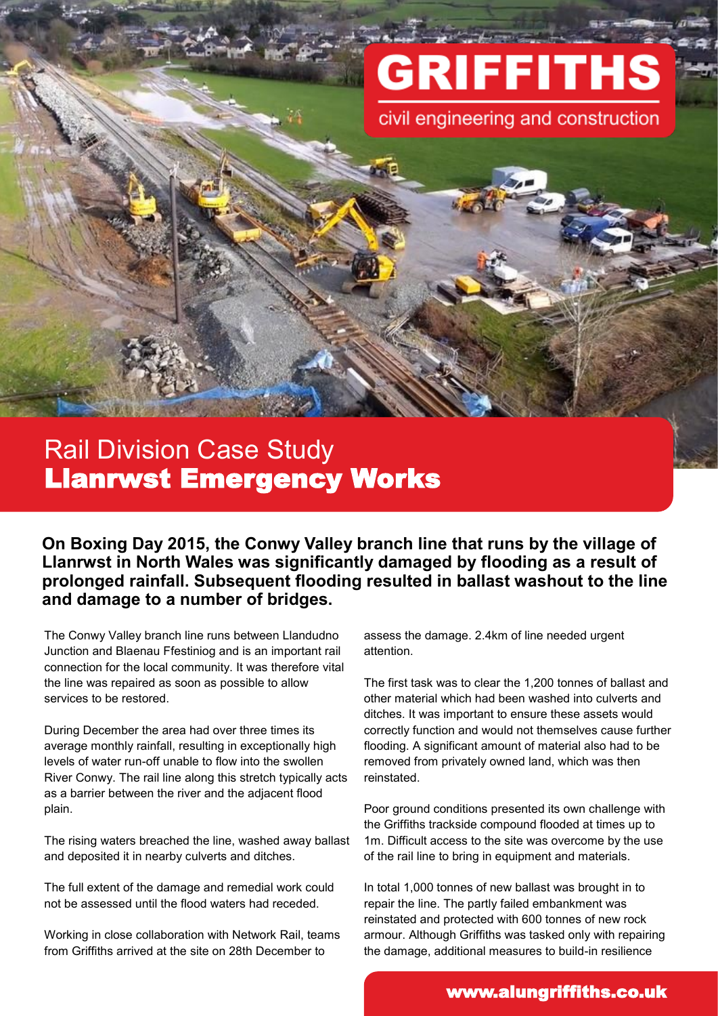# **GRIFFITHS**

civil engineering and construction

## Rail Division Case Study Llanrwst Emergency Works

**On Boxing Day 2015, the Conwy Valley branch line that runs by the village of Llanrwst in North Wales was significantly damaged by flooding as a result of prolonged rainfall. Subsequent flooding resulted in ballast washout to the line and damage to a number of bridges.**

The Conwy Valley branch line runs between Llandudno Junction and Blaenau Ffestiniog and is an important rail connection for the local community. It was therefore vital the line was repaired as soon as possible to allow services to be restored.

During December the area had over three times its average monthly rainfall, resulting in exceptionally high levels of water run-off unable to flow into the swollen River Conwy. The rail line along this stretch typically acts as a barrier between the river and the adjacent flood plain.

The rising waters breached the line, washed away ballast and deposited it in nearby culverts and ditches.

The full extent of the damage and remedial work could not be assessed until the flood waters had receded.

Working in close collaboration with Network Rail, teams from Griffiths arrived at the site on 28th December to

assess the damage. 2.4km of line needed urgent attention.

The first task was to clear the 1,200 tonnes of ballast and other material which had been washed into culverts and ditches. It was important to ensure these assets would correctly function and would not themselves cause further flooding. A significant amount of material also had to be removed from privately owned land, which was then reinstated.

Poor ground conditions presented its own challenge with the Griffiths trackside compound flooded at times up to 1m. Difficult access to the site was overcome by the use of the rail line to bring in equipment and materials.

In total 1,000 tonnes of new ballast was brought in to repair the line. The partly failed embankment was reinstated and protected with 600 tonnes of new rock armour. Although Griffiths was tasked only with repairing the damage, additional measures to build-in resilience

#### www.alungriffiths.co.uk